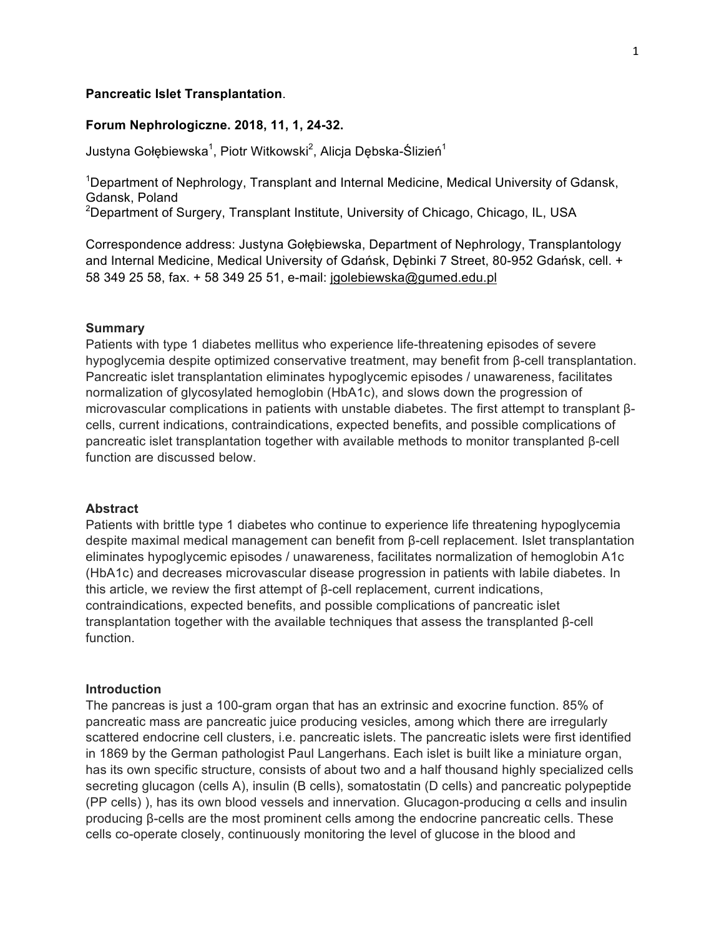#### **Pancreatic Islet Transplantation**.

## **Forum Nephrologiczne. 2018, 11, 1, 24-32.**

Justyna Gołębiewska<sup>1</sup>, Piotr Witkowski<sup>2</sup>, Alicja Dębska-Ślizień<sup>1</sup>

<sup>1</sup>Department of Nephrology, Transplant and Internal Medicine, Medical University of Gdansk, Gdansk, Poland

 $^{2}$ Department of Surgery, Transplant Institute, University of Chicago, Chicago, IL, USA

Correspondence address: Justyna Gołębiewska, Department of Nephrology, Transplantology and Internal Medicine, Medical University of Gdańsk, Dębinki 7 Street, 80-952 Gdańsk, cell. + 58 349 25 58, fax. + 58 349 25 51, e-mail: jgolebiewska@gumed.edu.pl

#### **Summary**

Patients with type 1 diabetes mellitus who experience life-threatening episodes of severe hypoglycemia despite optimized conservative treatment, may benefit from β-cell transplantation. Pancreatic islet transplantation eliminates hypoglycemic episodes / unawareness, facilitates normalization of glycosylated hemoglobin (HbA1c), and slows down the progression of microvascular complications in patients with unstable diabetes. The first attempt to transplant βcells, current indications, contraindications, expected benefits, and possible complications of pancreatic islet transplantation together with available methods to monitor transplanted β-cell function are discussed below.

### **Abstract**

Patients with brittle type 1 diabetes who continue to experience life threatening hypoglycemia despite maximal medical management can benefit from β-cell replacement. Islet transplantation eliminates hypoglycemic episodes / unawareness, facilitates normalization of hemoglobin A1c (HbA1c) and decreases microvascular disease progression in patients with labile diabetes. In this article, we review the first attempt of β-cell replacement, current indications, contraindications, expected benefits, and possible complications of pancreatic islet transplantation together with the available techniques that assess the transplanted β-cell function.

## **Introduction**

The pancreas is just a 100-gram organ that has an extrinsic and exocrine function. 85% of pancreatic mass are pancreatic juice producing vesicles, among which there are irregularly scattered endocrine cell clusters, i.e. pancreatic islets. The pancreatic islets were first identified in 1869 by the German pathologist Paul Langerhans. Each islet is built like a miniature organ, has its own specific structure, consists of about two and a half thousand highly specialized cells secreting glucagon (cells A), insulin (B cells), somatostatin (D cells) and pancreatic polypeptide (PP cells) ), has its own blood vessels and innervation. Glucagon-producing α cells and insulin producing β-cells are the most prominent cells among the endocrine pancreatic cells. These cells co-operate closely, continuously monitoring the level of glucose in the blood and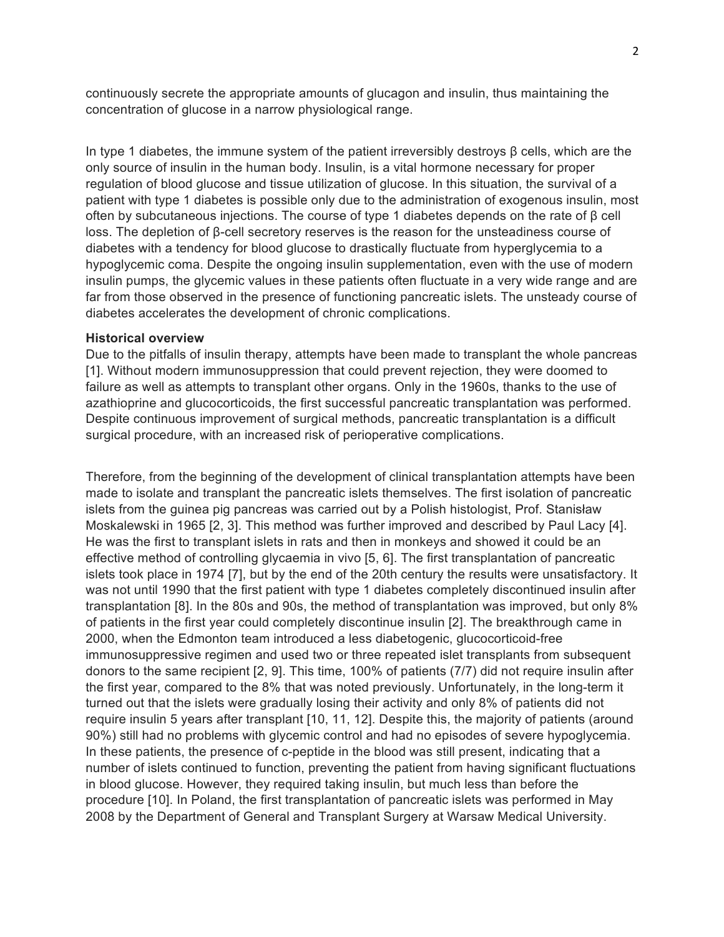continuously secrete the appropriate amounts of glucagon and insulin, thus maintaining the concentration of glucose in a narrow physiological range.

In type 1 diabetes, the immune system of the patient irreversibly destroys β cells, which are the only source of insulin in the human body. Insulin, is a vital hormone necessary for proper regulation of blood glucose and tissue utilization of glucose. In this situation, the survival of a patient with type 1 diabetes is possible only due to the administration of exogenous insulin, most often by subcutaneous injections. The course of type 1 diabetes depends on the rate of β cell loss. The depletion of β-cell secretory reserves is the reason for the unsteadiness course of diabetes with a tendency for blood glucose to drastically fluctuate from hyperglycemia to a hypoglycemic coma. Despite the ongoing insulin supplementation, even with the use of modern insulin pumps, the glycemic values in these patients often fluctuate in a very wide range and are far from those observed in the presence of functioning pancreatic islets. The unsteady course of diabetes accelerates the development of chronic complications.

## **Historical overview**

Due to the pitfalls of insulin therapy, attempts have been made to transplant the whole pancreas [1]. Without modern immunosuppression that could prevent rejection, they were doomed to failure as well as attempts to transplant other organs. Only in the 1960s, thanks to the use of azathioprine and glucocorticoids, the first successful pancreatic transplantation was performed. Despite continuous improvement of surgical methods, pancreatic transplantation is a difficult surgical procedure, with an increased risk of perioperative complications.

Therefore, from the beginning of the development of clinical transplantation attempts have been made to isolate and transplant the pancreatic islets themselves. The first isolation of pancreatic islets from the guinea pig pancreas was carried out by a Polish histologist, Prof. Stanisław Moskalewski in 1965 [2, 3]. This method was further improved and described by Paul Lacy [4]. He was the first to transplant islets in rats and then in monkeys and showed it could be an effective method of controlling glycaemia in vivo [5, 6]. The first transplantation of pancreatic islets took place in 1974 [7], but by the end of the 20th century the results were unsatisfactory. It was not until 1990 that the first patient with type 1 diabetes completely discontinued insulin after transplantation [8]. In the 80s and 90s, the method of transplantation was improved, but only 8% of patients in the first year could completely discontinue insulin [2]. The breakthrough came in 2000, when the Edmonton team introduced a less diabetogenic, glucocorticoid-free immunosuppressive regimen and used two or three repeated islet transplants from subsequent donors to the same recipient [2, 9]. This time, 100% of patients (7/7) did not require insulin after the first year, compared to the 8% that was noted previously. Unfortunately, in the long-term it turned out that the islets were gradually losing their activity and only 8% of patients did not require insulin 5 years after transplant [10, 11, 12]. Despite this, the majority of patients (around 90%) still had no problems with glycemic control and had no episodes of severe hypoglycemia. In these patients, the presence of c-peptide in the blood was still present, indicating that a number of islets continued to function, preventing the patient from having significant fluctuations in blood glucose. However, they required taking insulin, but much less than before the procedure [10]. In Poland, the first transplantation of pancreatic islets was performed in May 2008 by the Department of General and Transplant Surgery at Warsaw Medical University.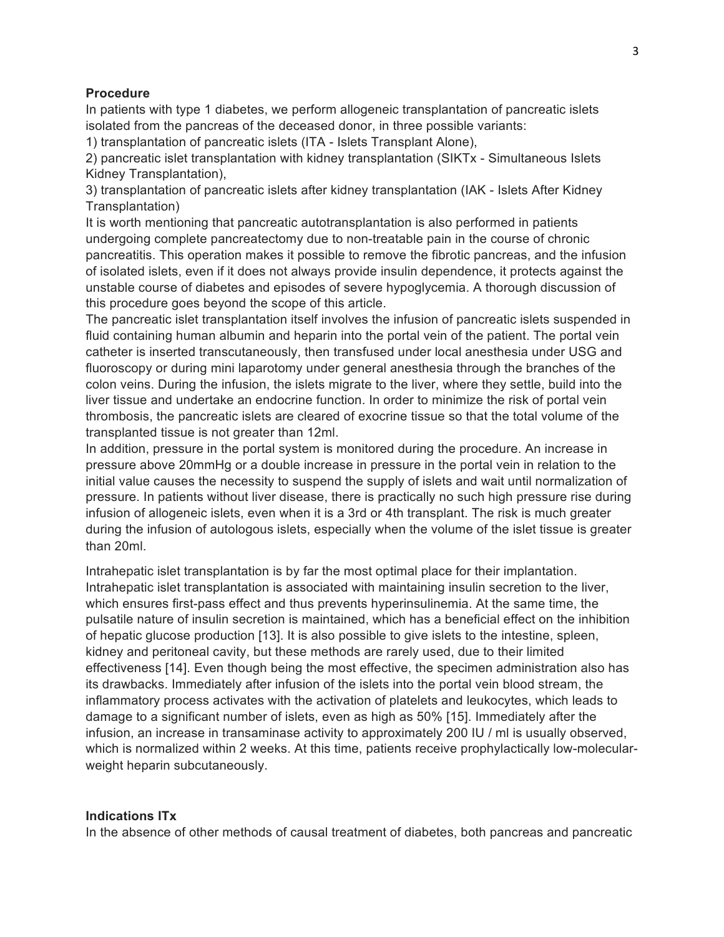## **Procedure**

In patients with type 1 diabetes, we perform allogeneic transplantation of pancreatic islets isolated from the pancreas of the deceased donor, in three possible variants:

1) transplantation of pancreatic islets (ITA - Islets Transplant Alone),

2) pancreatic islet transplantation with kidney transplantation (SIKTx - Simultaneous Islets Kidney Transplantation),

3) transplantation of pancreatic islets after kidney transplantation (IAK - Islets After Kidney Transplantation)

It is worth mentioning that pancreatic autotransplantation is also performed in patients undergoing complete pancreatectomy due to non-treatable pain in the course of chronic pancreatitis. This operation makes it possible to remove the fibrotic pancreas, and the infusion of isolated islets, even if it does not always provide insulin dependence, it protects against the unstable course of diabetes and episodes of severe hypoglycemia. A thorough discussion of this procedure goes beyond the scope of this article.

The pancreatic islet transplantation itself involves the infusion of pancreatic islets suspended in fluid containing human albumin and heparin into the portal vein of the patient. The portal vein catheter is inserted transcutaneously, then transfused under local anesthesia under USG and fluoroscopy or during mini laparotomy under general anesthesia through the branches of the colon veins. During the infusion, the islets migrate to the liver, where they settle, build into the liver tissue and undertake an endocrine function. In order to minimize the risk of portal vein thrombosis, the pancreatic islets are cleared of exocrine tissue so that the total volume of the transplanted tissue is not greater than 12ml.

In addition, pressure in the portal system is monitored during the procedure. An increase in pressure above 20mmHg or a double increase in pressure in the portal vein in relation to the initial value causes the necessity to suspend the supply of islets and wait until normalization of pressure. In patients without liver disease, there is practically no such high pressure rise during infusion of allogeneic islets, even when it is a 3rd or 4th transplant. The risk is much greater during the infusion of autologous islets, especially when the volume of the islet tissue is greater than 20ml.

Intrahepatic islet transplantation is by far the most optimal place for their implantation. Intrahepatic islet transplantation is associated with maintaining insulin secretion to the liver, which ensures first-pass effect and thus prevents hyperinsulinemia. At the same time, the pulsatile nature of insulin secretion is maintained, which has a beneficial effect on the inhibition of hepatic glucose production [13]. It is also possible to give islets to the intestine, spleen, kidney and peritoneal cavity, but these methods are rarely used, due to their limited effectiveness [14]. Even though being the most effective, the specimen administration also has its drawbacks. Immediately after infusion of the islets into the portal vein blood stream, the inflammatory process activates with the activation of platelets and leukocytes, which leads to damage to a significant number of islets, even as high as 50% [15]. Immediately after the infusion, an increase in transaminase activity to approximately 200 IU / ml is usually observed, which is normalized within 2 weeks. At this time, patients receive prophylactically low-molecularweight heparin subcutaneously.

## **Indications ITx**

In the absence of other methods of causal treatment of diabetes, both pancreas and pancreatic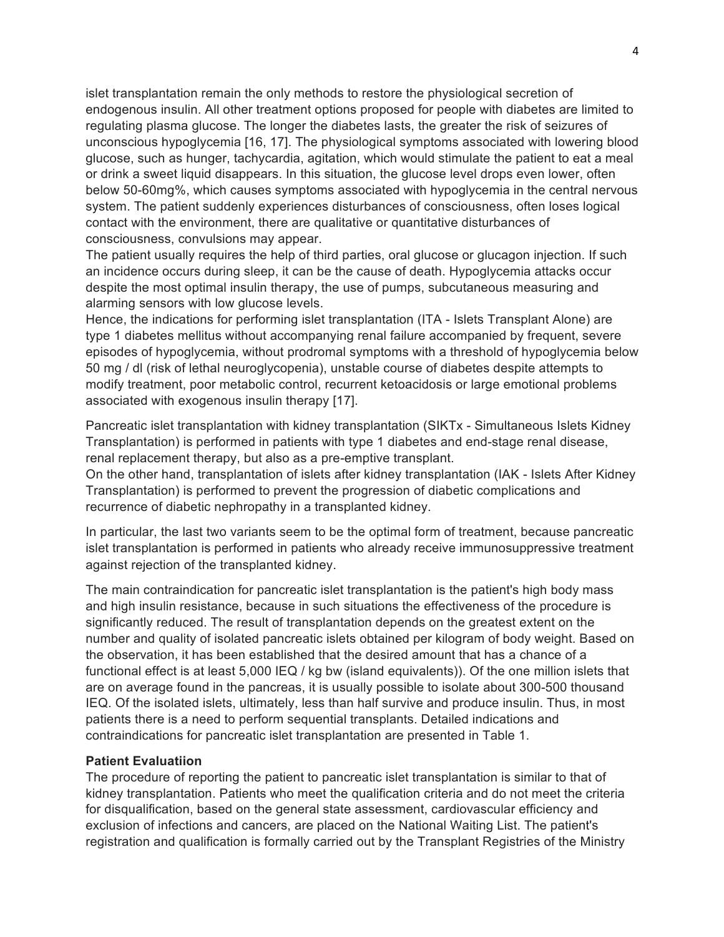islet transplantation remain the only methods to restore the physiological secretion of endogenous insulin. All other treatment options proposed for people with diabetes are limited to regulating plasma glucose. The longer the diabetes lasts, the greater the risk of seizures of unconscious hypoglycemia [16, 17]. The physiological symptoms associated with lowering blood glucose, such as hunger, tachycardia, agitation, which would stimulate the patient to eat a meal or drink a sweet liquid disappears. In this situation, the glucose level drops even lower, often below 50-60mg%, which causes symptoms associated with hypoglycemia in the central nervous system. The patient suddenly experiences disturbances of consciousness, often loses logical contact with the environment, there are qualitative or quantitative disturbances of consciousness, convulsions may appear.

The patient usually requires the help of third parties, oral glucose or glucagon injection. If such an incidence occurs during sleep, it can be the cause of death. Hypoglycemia attacks occur despite the most optimal insulin therapy, the use of pumps, subcutaneous measuring and alarming sensors with low glucose levels.

Hence, the indications for performing islet transplantation (ITA - Islets Transplant Alone) are type 1 diabetes mellitus without accompanying renal failure accompanied by frequent, severe episodes of hypoglycemia, without prodromal symptoms with a threshold of hypoglycemia below 50 mg / dl (risk of lethal neuroglycopenia), unstable course of diabetes despite attempts to modify treatment, poor metabolic control, recurrent ketoacidosis or large emotional problems associated with exogenous insulin therapy [17].

Pancreatic islet transplantation with kidney transplantation (SIKTx - Simultaneous Islets Kidney Transplantation) is performed in patients with type 1 diabetes and end-stage renal disease, renal replacement therapy, but also as a pre-emptive transplant.

On the other hand, transplantation of islets after kidney transplantation (IAK - Islets After Kidney Transplantation) is performed to prevent the progression of diabetic complications and recurrence of diabetic nephropathy in a transplanted kidney.

In particular, the last two variants seem to be the optimal form of treatment, because pancreatic islet transplantation is performed in patients who already receive immunosuppressive treatment against rejection of the transplanted kidney.

The main contraindication for pancreatic islet transplantation is the patient's high body mass and high insulin resistance, because in such situations the effectiveness of the procedure is significantly reduced. The result of transplantation depends on the greatest extent on the number and quality of isolated pancreatic islets obtained per kilogram of body weight. Based on the observation, it has been established that the desired amount that has a chance of a functional effect is at least 5,000 IEQ / kg bw (island equivalents)). Of the one million islets that are on average found in the pancreas, it is usually possible to isolate about 300-500 thousand IEQ. Of the isolated islets, ultimately, less than half survive and produce insulin. Thus, in most patients there is a need to perform sequential transplants. Detailed indications and contraindications for pancreatic islet transplantation are presented in Table 1.

## **Patient Evaluatiion**

The procedure of reporting the patient to pancreatic islet transplantation is similar to that of kidney transplantation. Patients who meet the qualification criteria and do not meet the criteria for disqualification, based on the general state assessment, cardiovascular efficiency and exclusion of infections and cancers, are placed on the National Waiting List. The patient's registration and qualification is formally carried out by the Transplant Registries of the Ministry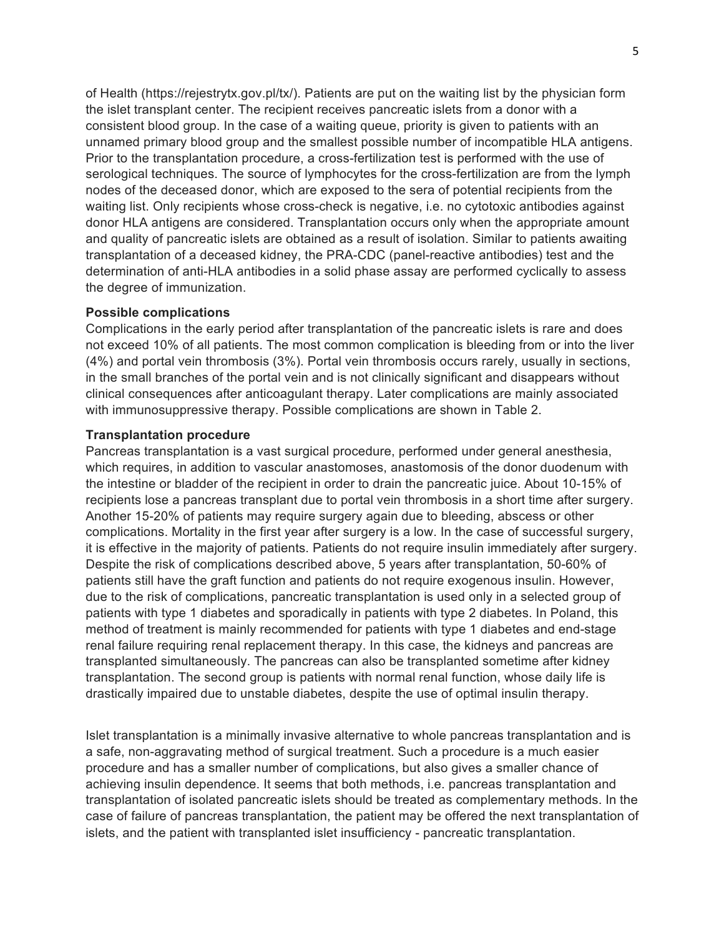of Health (https://rejestrytx.gov.pl/tx/). Patients are put on the waiting list by the physician form the islet transplant center. The recipient receives pancreatic islets from a donor with a consistent blood group. In the case of a waiting queue, priority is given to patients with an unnamed primary blood group and the smallest possible number of incompatible HLA antigens. Prior to the transplantation procedure, a cross-fertilization test is performed with the use of serological techniques. The source of lymphocytes for the cross-fertilization are from the lymph nodes of the deceased donor, which are exposed to the sera of potential recipients from the waiting list. Only recipients whose cross-check is negative, i.e. no cytotoxic antibodies against donor HLA antigens are considered. Transplantation occurs only when the appropriate amount and quality of pancreatic islets are obtained as a result of isolation. Similar to patients awaiting transplantation of a deceased kidney, the PRA-CDC (panel-reactive antibodies) test and the determination of anti-HLA antibodies in a solid phase assay are performed cyclically to assess the degree of immunization.

### **Possible complications**

Complications in the early period after transplantation of the pancreatic islets is rare and does not exceed 10% of all patients. The most common complication is bleeding from or into the liver (4%) and portal vein thrombosis (3%). Portal vein thrombosis occurs rarely, usually in sections, in the small branches of the portal vein and is not clinically significant and disappears without clinical consequences after anticoagulant therapy. Later complications are mainly associated with immunosuppressive therapy. Possible complications are shown in Table 2.

## **Transplantation procedure**

Pancreas transplantation is a vast surgical procedure, performed under general anesthesia, which requires, in addition to vascular anastomoses, anastomosis of the donor duodenum with the intestine or bladder of the recipient in order to drain the pancreatic juice. About 10-15% of recipients lose a pancreas transplant due to portal vein thrombosis in a short time after surgery. Another 15-20% of patients may require surgery again due to bleeding, abscess or other complications. Mortality in the first year after surgery is a low. In the case of successful surgery, it is effective in the majority of patients. Patients do not require insulin immediately after surgery. Despite the risk of complications described above, 5 years after transplantation, 50-60% of patients still have the graft function and patients do not require exogenous insulin. However, due to the risk of complications, pancreatic transplantation is used only in a selected group of patients with type 1 diabetes and sporadically in patients with type 2 diabetes. In Poland, this method of treatment is mainly recommended for patients with type 1 diabetes and end-stage renal failure requiring renal replacement therapy. In this case, the kidneys and pancreas are transplanted simultaneously. The pancreas can also be transplanted sometime after kidney transplantation. The second group is patients with normal renal function, whose daily life is drastically impaired due to unstable diabetes, despite the use of optimal insulin therapy.

Islet transplantation is a minimally invasive alternative to whole pancreas transplantation and is a safe, non-aggravating method of surgical treatment. Such a procedure is a much easier procedure and has a smaller number of complications, but also gives a smaller chance of achieving insulin dependence. It seems that both methods, i.e. pancreas transplantation and transplantation of isolated pancreatic islets should be treated as complementary methods. In the case of failure of pancreas transplantation, the patient may be offered the next transplantation of islets, and the patient with transplanted islet insufficiency - pancreatic transplantation.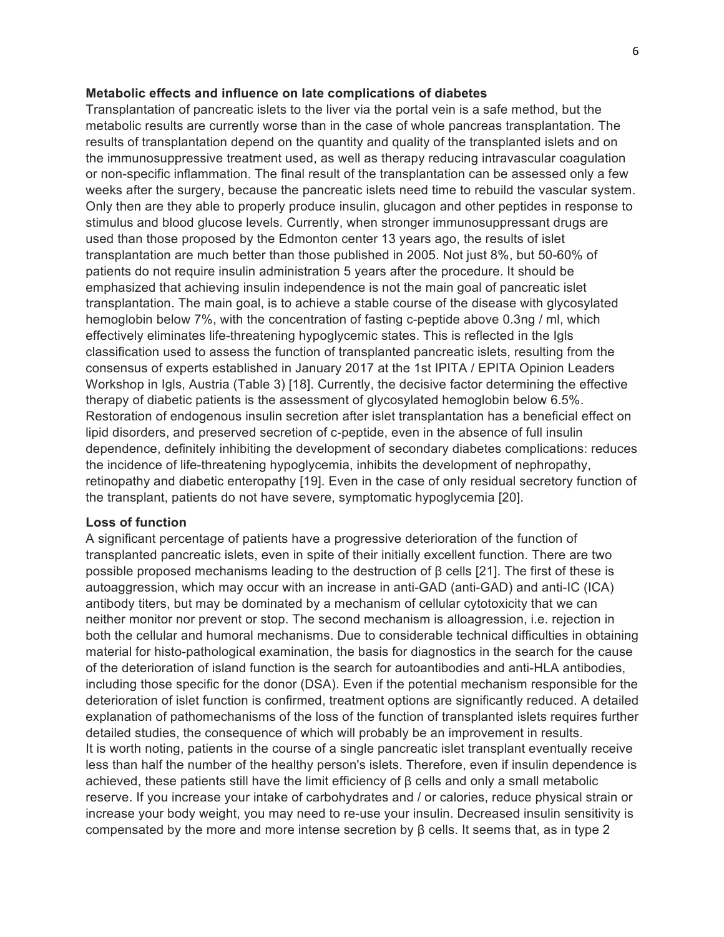#### **Metabolic effects and influence on late complications of diabetes**

Transplantation of pancreatic islets to the liver via the portal vein is a safe method, but the metabolic results are currently worse than in the case of whole pancreas transplantation. The results of transplantation depend on the quantity and quality of the transplanted islets and on the immunosuppressive treatment used, as well as therapy reducing intravascular coagulation or non-specific inflammation. The final result of the transplantation can be assessed only a few weeks after the surgery, because the pancreatic islets need time to rebuild the vascular system. Only then are they able to properly produce insulin, glucagon and other peptides in response to stimulus and blood glucose levels. Currently, when stronger immunosuppressant drugs are used than those proposed by the Edmonton center 13 years ago, the results of islet transplantation are much better than those published in 2005. Not just 8%, but 50-60% of patients do not require insulin administration 5 years after the procedure. It should be emphasized that achieving insulin independence is not the main goal of pancreatic islet transplantation. The main goal, is to achieve a stable course of the disease with glycosylated hemoglobin below 7%, with the concentration of fasting c-peptide above 0.3ng / ml, which effectively eliminates life-threatening hypoglycemic states. This is reflected in the Igls classification used to assess the function of transplanted pancreatic islets, resulting from the consensus of experts established in January 2017 at the 1st IPITA / EPITA Opinion Leaders Workshop in Igls, Austria (Table 3) [18]. Currently, the decisive factor determining the effective therapy of diabetic patients is the assessment of glycosylated hemoglobin below 6.5%. Restoration of endogenous insulin secretion after islet transplantation has a beneficial effect on lipid disorders, and preserved secretion of c-peptide, even in the absence of full insulin dependence, definitely inhibiting the development of secondary diabetes complications: reduces the incidence of life-threatening hypoglycemia, inhibits the development of nephropathy, retinopathy and diabetic enteropathy [19]. Even in the case of only residual secretory function of the transplant, patients do not have severe, symptomatic hypoglycemia [20].

## **Loss of function**

A significant percentage of patients have a progressive deterioration of the function of transplanted pancreatic islets, even in spite of their initially excellent function. There are two possible proposed mechanisms leading to the destruction of β cells [21]. The first of these is autoaggression, which may occur with an increase in anti-GAD (anti-GAD) and anti-IC (ICA) antibody titers, but may be dominated by a mechanism of cellular cytotoxicity that we can neither monitor nor prevent or stop. The second mechanism is alloagression, i.e. rejection in both the cellular and humoral mechanisms. Due to considerable technical difficulties in obtaining material for histo-pathological examination, the basis for diagnostics in the search for the cause of the deterioration of island function is the search for autoantibodies and anti-HLA antibodies, including those specific for the donor (DSA). Even if the potential mechanism responsible for the deterioration of islet function is confirmed, treatment options are significantly reduced. A detailed explanation of pathomechanisms of the loss of the function of transplanted islets requires further detailed studies, the consequence of which will probably be an improvement in results. It is worth noting, patients in the course of a single pancreatic islet transplant eventually receive less than half the number of the healthy person's islets. Therefore, even if insulin dependence is achieved, these patients still have the limit efficiency of β cells and only a small metabolic reserve. If you increase your intake of carbohydrates and / or calories, reduce physical strain or increase your body weight, you may need to re-use your insulin. Decreased insulin sensitivity is compensated by the more and more intense secretion by β cells. It seems that, as in type 2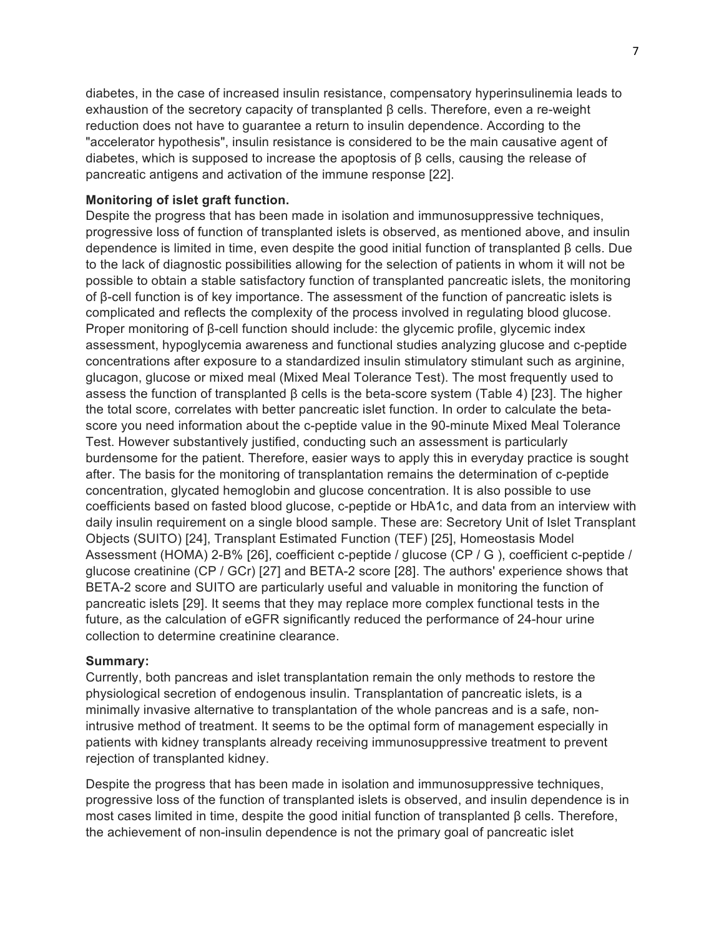diabetes, in the case of increased insulin resistance, compensatory hyperinsulinemia leads to exhaustion of the secretory capacity of transplanted β cells. Therefore, even a re-weight reduction does not have to guarantee a return to insulin dependence. According to the "accelerator hypothesis", insulin resistance is considered to be the main causative agent of diabetes, which is supposed to increase the apoptosis of  $\beta$  cells, causing the release of pancreatic antigens and activation of the immune response [22].

## **Monitoring of islet graft function.**

Despite the progress that has been made in isolation and immunosuppressive techniques, progressive loss of function of transplanted islets is observed, as mentioned above, and insulin dependence is limited in time, even despite the good initial function of transplanted β cells. Due to the lack of diagnostic possibilities allowing for the selection of patients in whom it will not be possible to obtain a stable satisfactory function of transplanted pancreatic islets, the monitoring of β-cell function is of key importance. The assessment of the function of pancreatic islets is complicated and reflects the complexity of the process involved in regulating blood glucose. Proper monitoring of β-cell function should include: the glycemic profile, glycemic index assessment, hypoglycemia awareness and functional studies analyzing glucose and c-peptide concentrations after exposure to a standardized insulin stimulatory stimulant such as arginine, glucagon, glucose or mixed meal (Mixed Meal Tolerance Test). The most frequently used to assess the function of transplanted β cells is the beta-score system (Table 4) [23]. The higher the total score, correlates with better pancreatic islet function. In order to calculate the betascore you need information about the c-peptide value in the 90-minute Mixed Meal Tolerance Test. However substantively justified, conducting such an assessment is particularly burdensome for the patient. Therefore, easier ways to apply this in everyday practice is sought after. The basis for the monitoring of transplantation remains the determination of c-peptide concentration, glycated hemoglobin and glucose concentration. It is also possible to use coefficients based on fasted blood glucose, c-peptide or HbA1c, and data from an interview with daily insulin requirement on a single blood sample. These are: Secretory Unit of Islet Transplant Objects (SUITO) [24], Transplant Estimated Function (TEF) [25], Homeostasis Model Assessment (HOMA) 2-B% [26], coefficient c-peptide / glucose (CP / G ), coefficient c-peptide / glucose creatinine (CP / GCr) [27] and BETA-2 score [28]. The authors' experience shows that BETA-2 score and SUITO are particularly useful and valuable in monitoring the function of pancreatic islets [29]. It seems that they may replace more complex functional tests in the future, as the calculation of eGFR significantly reduced the performance of 24-hour urine collection to determine creatinine clearance.

## **Summary:**

Currently, both pancreas and islet transplantation remain the only methods to restore the physiological secretion of endogenous insulin. Transplantation of pancreatic islets, is a minimally invasive alternative to transplantation of the whole pancreas and is a safe, nonintrusive method of treatment. It seems to be the optimal form of management especially in patients with kidney transplants already receiving immunosuppressive treatment to prevent rejection of transplanted kidney.

Despite the progress that has been made in isolation and immunosuppressive techniques, progressive loss of the function of transplanted islets is observed, and insulin dependence is in most cases limited in time, despite the good initial function of transplanted β cells. Therefore, the achievement of non-insulin dependence is not the primary goal of pancreatic islet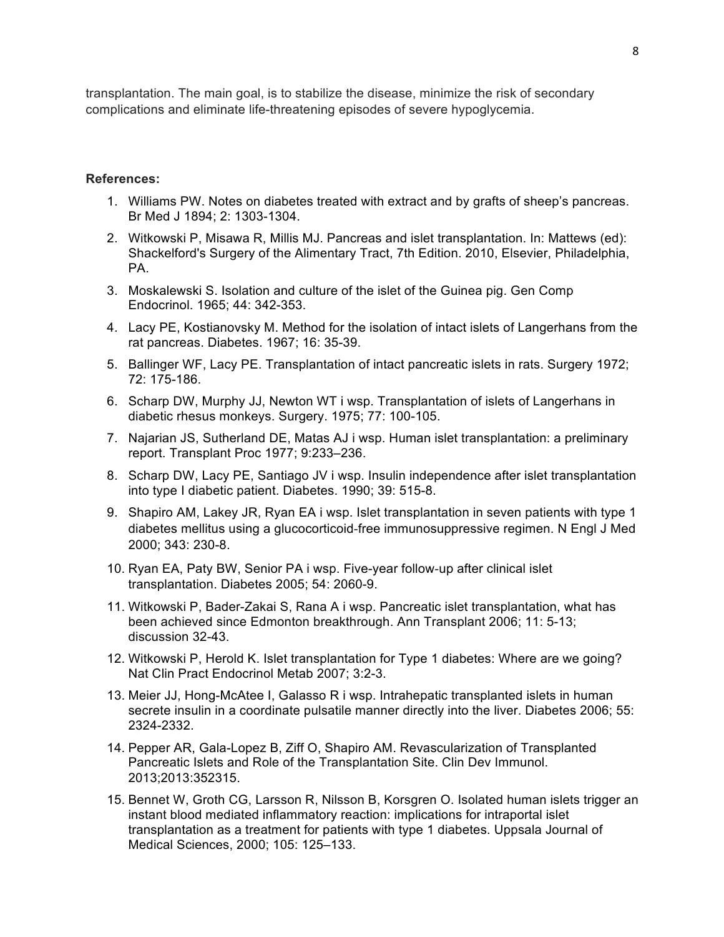transplantation. The main goal, is to stabilize the disease, minimize the risk of secondary complications and eliminate life-threatening episodes of severe hypoglycemia.

### **References:**

- 1. Williams PW. Notes on diabetes treated with extract and by grafts of sheep's pancreas. Br Med J 1894; 2: 1303-1304.
- 2. Witkowski P, Misawa R, Millis MJ. Pancreas and islet transplantation. In: Mattews (ed): Shackelford's Surgery of the Alimentary Tract, 7th Edition. 2010, Elsevier, Philadelphia, PA.
- 3. Moskalewski S. Isolation and culture of the islet of the Guinea pig. Gen Comp Endocrinol. 1965; 44: 342-353.
- 4. Lacy PE, Kostianovsky M. Method for the isolation of intact islets of Langerhans from the rat pancreas. Diabetes. 1967; 16: 35-39.
- 5. Ballinger WF, Lacy PE. Transplantation of intact pancreatic islets in rats. Surgery 1972; 72: 175-186.
- 6. Scharp DW, Murphy JJ, Newton WT i wsp. Transplantation of islets of Langerhans in diabetic rhesus monkeys. Surgery. 1975; 77: 100-105.
- 7. Najarian JS, Sutherland DE, Matas AJ i wsp. Human islet transplantation: a preliminary report. Transplant Proc 1977; 9:233–236.
- 8. Scharp DW, Lacy PE, Santiago JV i wsp. Insulin independence after islet transplantation into type I diabetic patient. Diabetes. 1990; 39: 515-8.
- 9. Shapiro AM, Lakey JR, Ryan EA i wsp. Islet transplantation in seven patients with type 1 diabetes mellitus using a glucocorticoid-free immunosuppressive regimen. N Engl J Med 2000; 343: 230-8.
- 10. Ryan EA, Paty BW, Senior PA i wsp. Five-year follow-up after clinical islet transplantation. Diabetes 2005; 54: 2060-9.
- 11. Witkowski P, Bader-Zakai S, Rana A i wsp. Pancreatic islet transplantation, what has been achieved since Edmonton breakthrough. Ann Transplant 2006; 11: 5-13; discussion 32-43.
- 12. Witkowski P, Herold K. Islet transplantation for Type 1 diabetes: Where are we going? Nat Clin Pract Endocrinol Metab 2007; 3:2-3.
- 13. Meier JJ, Hong-McAtee I, Galasso R i wsp. Intrahepatic transplanted islets in human secrete insulin in a coordinate pulsatile manner directly into the liver. Diabetes 2006; 55: 2324-2332.
- 14. Pepper AR, Gala-Lopez B, Ziff O, Shapiro AM. Revascularization of Transplanted Pancreatic Islets and Role of the Transplantation Site. Clin Dev Immunol. 2013;2013:352315.
- 15. Bennet W, Groth CG, Larsson R, Nilsson B, Korsgren O. Isolated human islets trigger an instant blood mediated inflammatory reaction: implications for intraportal islet transplantation as a treatment for patients with type 1 diabetes. Uppsala Journal of Medical Sciences, 2000; 105: 125–133.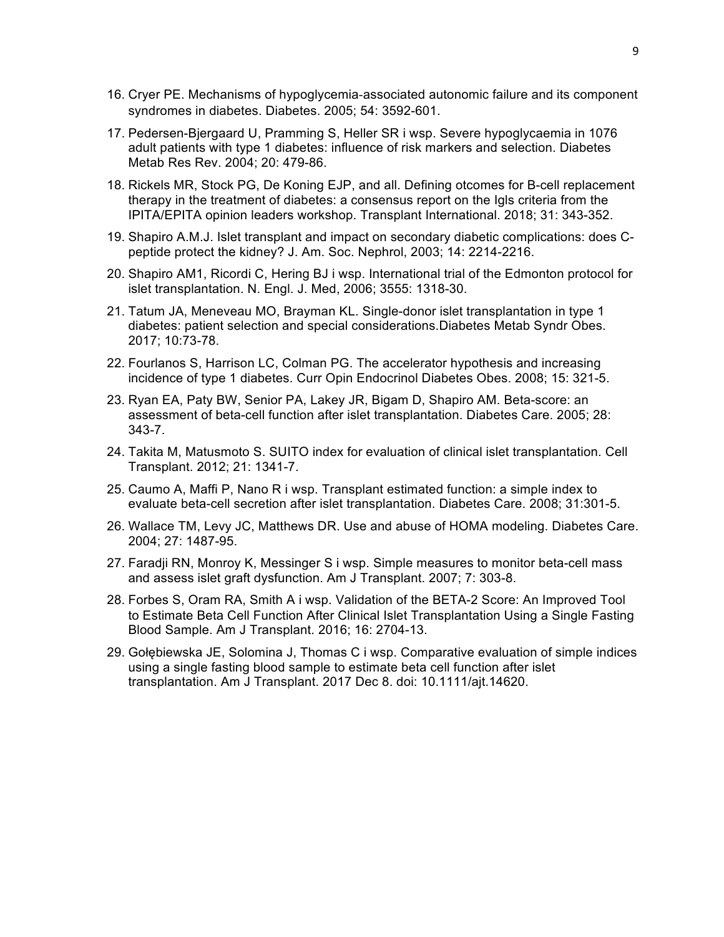- 16. Cryer PE. Mechanisms of hypoglycemia-associated autonomic failure and its component syndromes in diabetes. Diabetes. 2005; 54: 3592-601.
- 17. Pedersen-Bjergaard U, Pramming S, Heller SR i wsp. Severe hypoglycaemia in 1076 adult patients with type 1 diabetes: influence of risk markers and selection. Diabetes Metab Res Rev. 2004; 20: 479-86.
- 18. Rickels MR, Stock PG, De Koning EJP, and all. Defining otcomes for B-cell replacement therapy in the treatment of diabetes: a consensus report on the Igls criteria from the IPITA/EPITA opinion leaders workshop. Transplant International. 2018; 31: 343-352.
- 19. Shapiro A.M.J. Islet transplant and impact on secondary diabetic complications: does Cpeptide protect the kidney? J. Am. Soc. Nephrol, 2003; 14: 2214-2216.
- 20. Shapiro AM1, Ricordi C, Hering BJ i wsp. International trial of the Edmonton protocol for islet transplantation. N. Engl. J. Med, 2006; 3555: 1318-30.
- 21. Tatum JA, Meneveau MO, Brayman KL. Single-donor islet transplantation in type 1 diabetes: patient selection and special considerations.Diabetes Metab Syndr Obes. 2017; 10:73-78.
- 22. Fourlanos S, Harrison LC, Colman PG. The accelerator hypothesis and increasing incidence of type 1 diabetes. Curr Opin Endocrinol Diabetes Obes. 2008; 15: 321-5.
- 23. Ryan EA, Paty BW, Senior PA, Lakey JR, Bigam D, Shapiro AM. Beta-score: an assessment of beta-cell function after islet transplantation. Diabetes Care. 2005; 28: 343-7.
- 24. Takita M, Matusmoto S. SUITO index for evaluation of clinical islet transplantation. Cell Transplant. 2012; 21: 1341-7.
- 25. Caumo A, Maffi P, Nano R i wsp. Transplant estimated function: a simple index to evaluate beta-cell secretion after islet transplantation. Diabetes Care. 2008; 31:301-5.
- 26. Wallace TM, Levy JC, Matthews DR. Use and abuse of HOMA modeling. Diabetes Care. 2004; 27: 1487-95.
- 27. Faradji RN, Monroy K, Messinger S i wsp. Simple measures to monitor beta-cell mass and assess islet graft dysfunction. Am J Transplant. 2007; 7: 303-8.
- 28. Forbes S, Oram RA, Smith A i wsp. Validation of the BETA-2 Score: An Improved Tool to Estimate Beta Cell Function After Clinical Islet Transplantation Using a Single Fasting Blood Sample. Am J Transplant. 2016; 16: 2704-13.
- 29. Gołębiewska JE, Solomina J, Thomas C i wsp. Comparative evaluation of simple indices using a single fasting blood sample to estimate beta cell function after islet transplantation. Am J Transplant. 2017 Dec 8. doi: 10.1111/ajt.14620.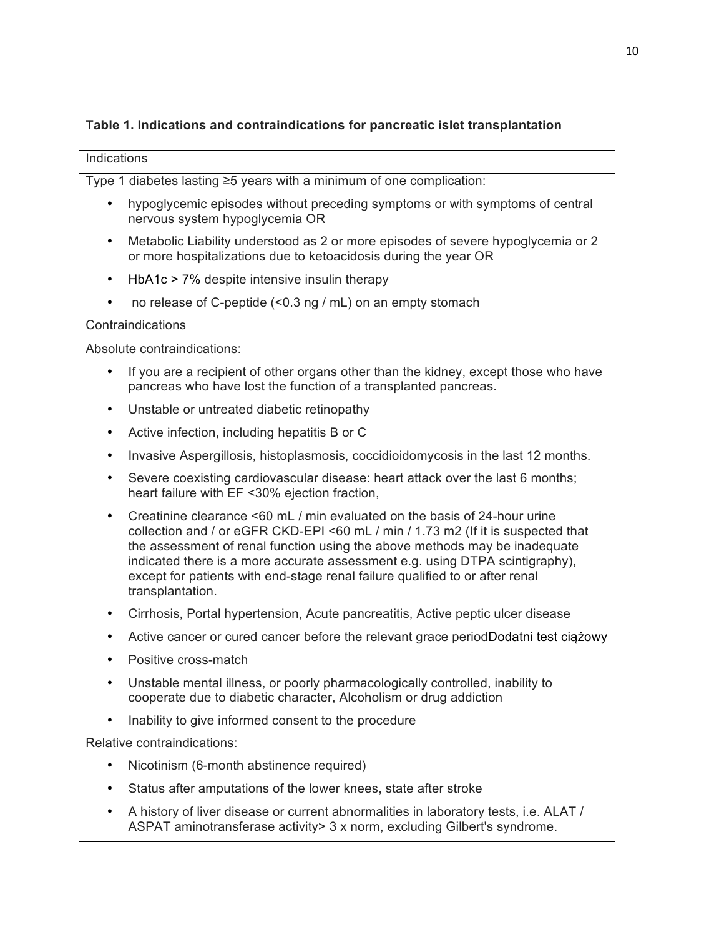# **Table 1. Indications and contraindications for pancreatic islet transplantation**

| Indications                 |                                                                                                                                                                                                                                                                                                                                                                                                                                 |  |  |  |  |  |
|-----------------------------|---------------------------------------------------------------------------------------------------------------------------------------------------------------------------------------------------------------------------------------------------------------------------------------------------------------------------------------------------------------------------------------------------------------------------------|--|--|--|--|--|
|                             | Type 1 diabetes lasting $\geq$ 5 years with a minimum of one complication:                                                                                                                                                                                                                                                                                                                                                      |  |  |  |  |  |
| $\bullet$                   | hypoglycemic episodes without preceding symptoms or with symptoms of central<br>nervous system hypoglycemia OR                                                                                                                                                                                                                                                                                                                  |  |  |  |  |  |
| ٠                           | Metabolic Liability understood as 2 or more episodes of severe hypoglycemia or 2<br>or more hospitalizations due to ketoacidosis during the year OR                                                                                                                                                                                                                                                                             |  |  |  |  |  |
| ٠                           | $HbA1c > 7%$ despite intensive insulin therapy                                                                                                                                                                                                                                                                                                                                                                                  |  |  |  |  |  |
|                             | no release of C-peptide (<0.3 ng / mL) on an empty stomach                                                                                                                                                                                                                                                                                                                                                                      |  |  |  |  |  |
| Contraindications           |                                                                                                                                                                                                                                                                                                                                                                                                                                 |  |  |  |  |  |
| Absolute contraindications: |                                                                                                                                                                                                                                                                                                                                                                                                                                 |  |  |  |  |  |
|                             | If you are a recipient of other organs other than the kidney, except those who have<br>pancreas who have lost the function of a transplanted pancreas.                                                                                                                                                                                                                                                                          |  |  |  |  |  |
| ٠                           | Unstable or untreated diabetic retinopathy                                                                                                                                                                                                                                                                                                                                                                                      |  |  |  |  |  |
| ٠                           | Active infection, including hepatitis B or C                                                                                                                                                                                                                                                                                                                                                                                    |  |  |  |  |  |
|                             | Invasive Aspergillosis, histoplasmosis, coccidioidomycosis in the last 12 months.                                                                                                                                                                                                                                                                                                                                               |  |  |  |  |  |
| ٠                           | Severe coexisting cardiovascular disease: heart attack over the last 6 months;<br>heart failure with EF <30% ejection fraction,                                                                                                                                                                                                                                                                                                 |  |  |  |  |  |
| ٠                           | Creatinine clearance <60 mL / min evaluated on the basis of 24-hour urine<br>collection and / or eGFR CKD-EPI <60 mL / min / 1.73 m2 (If it is suspected that<br>the assessment of renal function using the above methods may be inadequate<br>indicated there is a more accurate assessment e.g. using DTPA scintigraphy),<br>except for patients with end-stage renal failure qualified to or after renal<br>transplantation. |  |  |  |  |  |
|                             | Cirrhosis, Portal hypertension, Acute pancreatitis, Active peptic ulcer disease                                                                                                                                                                                                                                                                                                                                                 |  |  |  |  |  |
|                             | Active cancer or cured cancer before the relevant grace periodDodatni test ciazowy                                                                                                                                                                                                                                                                                                                                              |  |  |  |  |  |
|                             | Positive cross-match                                                                                                                                                                                                                                                                                                                                                                                                            |  |  |  |  |  |
| ٠                           | Unstable mental illness, or poorly pharmacologically controlled, inability to<br>cooperate due to diabetic character, Alcoholism or drug addiction                                                                                                                                                                                                                                                                              |  |  |  |  |  |
|                             | Inability to give informed consent to the procedure                                                                                                                                                                                                                                                                                                                                                                             |  |  |  |  |  |
| Relative contraindications: |                                                                                                                                                                                                                                                                                                                                                                                                                                 |  |  |  |  |  |
| ٠                           | Nicotinism (6-month abstinence required)                                                                                                                                                                                                                                                                                                                                                                                        |  |  |  |  |  |
|                             | Status after amputations of the lower knees, state after stroke                                                                                                                                                                                                                                                                                                                                                                 |  |  |  |  |  |
|                             | A history of liver disease or current abnormalities in laboratory tests, i.e. ALAT /<br>ASPAT aminotransferase activity> 3 x norm, excluding Gilbert's syndrome.                                                                                                                                                                                                                                                                |  |  |  |  |  |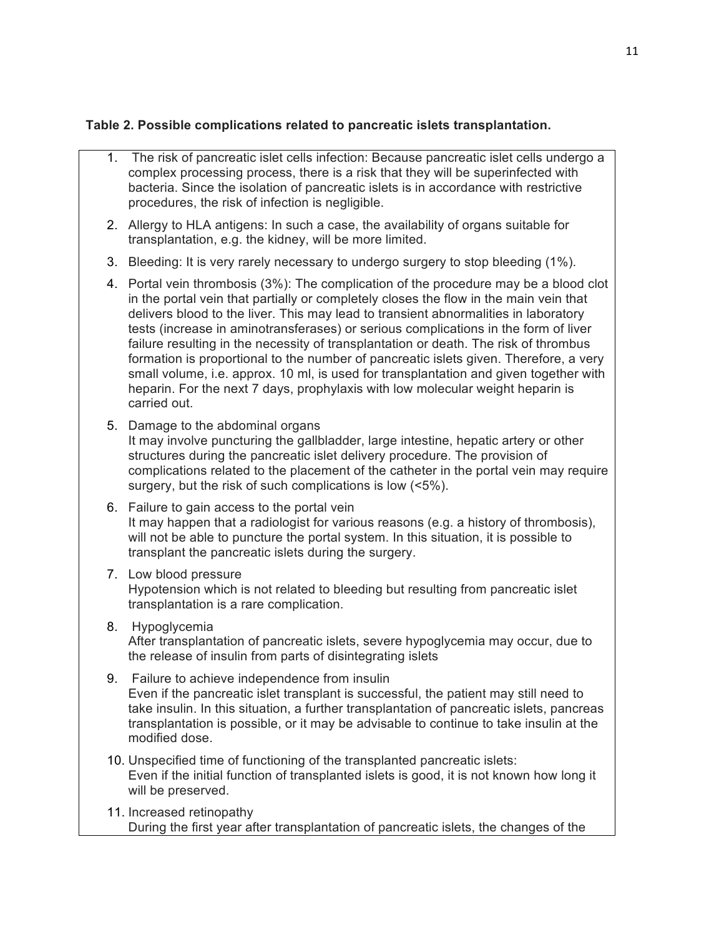# **Table 2. Possible complications related to pancreatic islets transplantation.**

- 1. The risk of pancreatic islet cells infection: Because pancreatic islet cells undergo a complex processing process, there is a risk that they will be superinfected with bacteria. Since the isolation of pancreatic islets is in accordance with restrictive procedures, the risk of infection is negligible.
- 2. Allergy to HLA antigens: In such a case, the availability of organs suitable for transplantation, e.g. the kidney, will be more limited.
- 3. Bleeding: It is very rarely necessary to undergo surgery to stop bleeding (1%).
- 4. Portal vein thrombosis (3%): The complication of the procedure may be a blood clot in the portal vein that partially or completely closes the flow in the main vein that delivers blood to the liver. This may lead to transient abnormalities in laboratory tests (increase in aminotransferases) or serious complications in the form of liver failure resulting in the necessity of transplantation or death. The risk of thrombus formation is proportional to the number of pancreatic islets given. Therefore, a very small volume, i.e. approx. 10 ml, is used for transplantation and given together with heparin. For the next 7 days, prophylaxis with low molecular weight heparin is carried out.
- 5. Damage to the abdominal organs It may involve puncturing the gallbladder, large intestine, hepatic artery or other structures during the pancreatic islet delivery procedure. The provision of complications related to the placement of the catheter in the portal vein may require surgery, but the risk of such complications is low (<5%).
- 6. Failure to gain access to the portal vein It may happen that a radiologist for various reasons (e.g. a history of thrombosis), will not be able to puncture the portal system. In this situation, it is possible to transplant the pancreatic islets during the surgery.
- 7. Low blood pressure Hypotension which is not related to bleeding but resulting from pancreatic islet transplantation is a rare complication.
- 8. Hypoglycemia After transplantation of pancreatic islets, severe hypoglycemia may occur, due to the release of insulin from parts of disintegrating islets
- 9. Failure to achieve independence from insulin Even if the pancreatic islet transplant is successful, the patient may still need to take insulin. In this situation, a further transplantation of pancreatic islets, pancreas transplantation is possible, or it may be advisable to continue to take insulin at the modified dose.
- 10. Unspecified time of functioning of the transplanted pancreatic islets: Even if the initial function of transplanted islets is good, it is not known how long it will be preserved.
- 11. Increased retinopathy During the first year after transplantation of pancreatic islets, the changes of the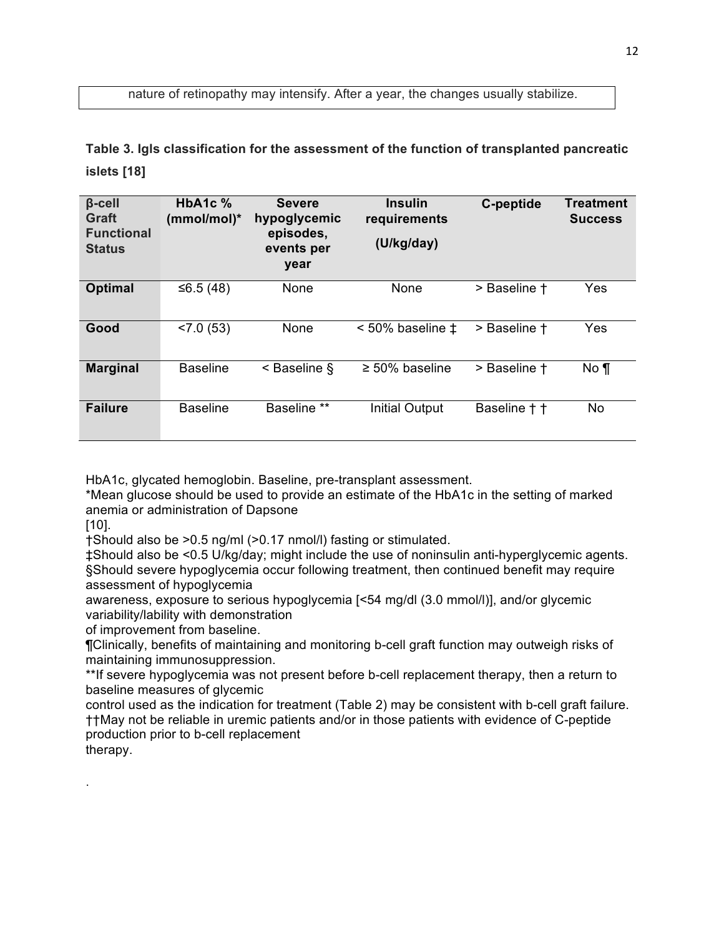nature of retinopathy may intensify. After a year, the changes usually stabilize.

**Table 3. Igls classification for the assessment of the function of transplanted pancreatic islets [18]**

| $\beta$ -cell<br>Graft<br><b>Functional</b><br><b>Status</b> | HbA <sub>1</sub> c $%$<br>(mmol/mol)* | <b>Severe</b><br>hypoglycemic<br>episodes,<br>events per<br>year | <b>Insulin</b><br>requirements<br>(U/kg/day) | C-peptide    | <b>Treatment</b><br><b>Success</b> |
|--------------------------------------------------------------|---------------------------------------|------------------------------------------------------------------|----------------------------------------------|--------------|------------------------------------|
| <b>Optimal</b>                                               | ≤6.5 $(48)$                           | None                                                             | None                                         | > Baseline † | Yes                                |
| Good                                                         | < 7.0(53)                             | None                                                             | $< 50\%$ baseline $\pm$                      | > Baseline + | Yes                                |
| <b>Marginal</b>                                              | <b>Baseline</b>                       | $\leq$ Baseline §                                                | $\geq 50\%$ baseline                         | > Baseline † | $No \mathcal{T}$                   |
| <b>Failure</b>                                               | <b>Baseline</b>                       | Baseline **                                                      | <b>Initial Output</b>                        | Baseline † † | No.                                |

HbA1c, glycated hemoglobin. Baseline, pre-transplant assessment.

\*Mean glucose should be used to provide an estimate of the HbA1c in the setting of marked anemia or administration of Dapsone

[10].

.

†Should also be >0.5 ng/ml (>0.17 nmol/l) fasting or stimulated.

‡Should also be <0.5 U/kg/day; might include the use of noninsulin anti-hyperglycemic agents. §Should severe hypoglycemia occur following treatment, then continued benefit may require assessment of hypoglycemia

awareness, exposure to serious hypoglycemia [<54 mg/dl (3.0 mmol/l)], and/or glycemic variability/lability with demonstration

of improvement from baseline.

¶Clinically, benefits of maintaining and monitoring b-cell graft function may outweigh risks of maintaining immunosuppression.

\*\*If severe hypoglycemia was not present before b-cell replacement therapy, then a return to baseline measures of glycemic

control used as the indication for treatment (Table 2) may be consistent with b-cell graft failure. ††May not be reliable in uremic patients and/or in those patients with evidence of C-peptide production prior to b-cell replacement therapy.